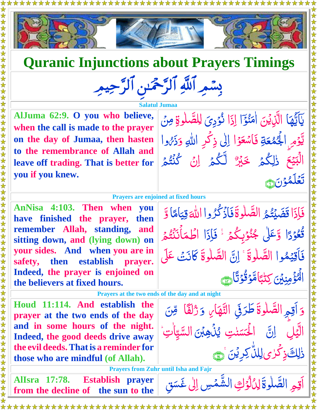



## **Quranic Injunctions about Prayers Timings**

بِسْمِرِ اَللَّهِ اَلرَّحْمَدِ<sub>ّ</sub> اَلرَّحِيمِ

**Salatul Jumaa** نُوۡدِىَ لِلصَّلٰوةِ مِنۡ

 $\frac{1}{2}$ 

ہ<br>گ ر<br>ا ئی<br>لا

وَذَرُه ُ<br>ُ

**AlJuma 62:9. O you who believe, when the call is made to the prayer on the day of Jumaa, then hasten to the remembrance of Allah and leave off trading. That is better for you if you knew.** 

**Prayers are enjoined at fixed hours**

**AnNisa 4:103. Then when you have finished the prayer, then remember Allah, standing, and sitting down, and (lying down) on your sides. And when you are in safety, then establish prayer. Indeed, the prayer is enjoined on the believers at fixed hours.** 

ا فَإِذَا قَضَيْتُمُ الصَّلْوَةَ فَأَذْكُرُوا َا گر<br>ا ر<br>الم ار<br>ا  $\ddot{a}$ ر<br>ر اللهَ قِيَاهَا<br>و **ي**<br>م ام با<br>ج قِيَامًا وَّ ľ ا ً ثُعُوْدًا وَّعَلٰى جُنُوْبِكُمْ ۚ فَإِذَا اطْمَأْنَنْتُمْ <u>أ</u> ا<br>ا ام<br>ا <u>ق</u> ر<br>گ ر<br>و <u>أ</u> ر<br>ا ُ<br>پُ َا ر<br>گ ر<br>ا ن<br>ز  $\tilde{I}$ َ ۡطم ا فَأَقِيَمُوا الصَّلْوَةَ ۚ إِنَّ الصَّلْوةَ كَانَتْ عَلَى ِ<br>ا ار<br>ا  $\ddot{a}$  $\ddot{\bullet}$   $\ddot{a}$ ع ا*<br>مؤويين كِتبًا* اد<br>ا انو<br>سا ا ֧<u>֓׆</u><br>ׇ **ِكِتْبَامَّوَقُوْتَ**َاهِمَ י<br>ו ًا  $\frac{1}{2}$ م<br>ف  $\frac{1}{2}$  $\ddot{\hat{}}$ 

> طَرَقِي التَّهَارِ  $\ddot{\bm{x}}$

> > ֦֘ أ<br>ا س ن<br>أ

 $\frac{1}{2}$ ِلِلنَّ كِرِيْنَ َ ۞  $\frac{1}{2}$ 

لْحَسَنْتِ

<u>ُ</u><br>ِ

 $\tilde{\mathbf{y}}$ 

ِ<br>ُ ُمُّسْتَمِعُونَ<br>مُعَامِدِ

> ∠ّ<br>ُ  $\ddot{\bm{z}}$

َ يُذُهِبۡنَ السَّيِّاٰتِ

ا

و ًز ا ف َ ل ُّ

يآتيها<br>يا نا<br>پا  $\frac{1}{2}$ j

> ِ<br>ُ  $\frac{1}{2}$

֧֦֧֧֝֝֝֝֬֝֝֬֝֬֝֬֝֬֝֓֓֝֬֝֬֝֓*֬* 

<u>َ</u><br>,

و ِم ِ

ر<br>ایا  $\ddot{\cdot}$ 

ل  $\overline{\phantom{a}}$ 

ذٰلِكَذِكَرٰى

اًقِمِ الصَّلٰوةَ طَرَقِي 

الَّيۡلِ اِنَّ الْحَسَنٰتِ

ا

ر<br>ا اُ<br>ا ل ر<br>ـا  $\ddot{\bullet}$ 

ׅ֖֦֧֦֧֚֡֬֝֬֝֬ ۡ

  $\ddot{\phantom{a}}$  َ ع ي  $\frac{1}{2}$ <u>بَ</u>

يَّوْمِ الْجُمْعَةِ

 $\ddot{\cdot}$ الَّذِينَ اٰمَنُوَٓا  $\sum_{n=1}^{\infty}$  $\int$ 

ہ<br>گ

۔<br>م لَجُمْعَةِ فَاسْعَوْا

ِ<br>ُنُ ُنَّ<br>ُ <u>أل</u> ا

الْبَيْعَ ۚ ذِٰلِكُمۡ

ا<br>ا تَعَلَّمُوْنَ ١  $\frac{1}{2}$ ُمُّ ُ<br>ا

ل  $\overline{\phantom{a}}$ 

<u>ُ</u><br>ُ ن<br>الم ا<br>الم

 $\tilde{a}$ 

امَنُوٓ إِذَا

<u>أ</u>

ٌ

ا

لم<br>المراجع<br>المراجع

ر<br>.

Ś

خَيْرٌ لَّكُمۡ اِنۡ كُنْتُمۡ ۔<br>گ

ا

ن<br>ُ ا

  $\ddot{a}$ 

<u>أ</u> ام<br>س

فَاسْعَوْا إِلَىٰ ذِكْرِ اللّٰہِ وَ<br>مَدَ مَسَ

**Prayers at the two ends of the day and at night**

 $\ddot{\cdot}$ ن ِ م  $\sum$ 

> iye.  $\ddot{ }$

ِ<br>ا س غ َ

**Houd 11:114. And establish the prayer at the two ends of the day and in some hours of the night. Indeed, the good deeds drive away the evil deeds.Thatis a reminder for those who are mindful (of Allah).**

 **Prayers from Zuhr until Isha and Fajr**

**AlIsra 17:78. Establish prayer** From the decline of the sun to the stable being the sun to the stable of the sun to the stable of the sun to the